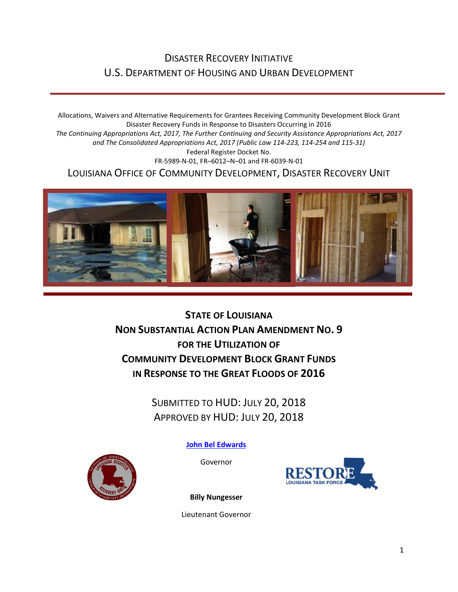## DISASTER RECOVERY INITIATIVE U.S. DEPARTMENT OF HOUSING AND URBAN DEVELOPMENT

Allocations, Waivers and Alternative Requirements for Grantees Receiving Community Development Block Grant Disaster Recovery Funds in Response to Disasters Occurring in 2016 *The Continuing Appropriations Act, 2017, The Further Continuing and Security Assistance Appropriations Act, 2017 and The Consolidated Appropriations Act, 2017 (Public Law 114-223, 114-254 and 115-31)* Federal Register Docket No. FR-5989-N-01, FR–6012–N–01 and FR-6039-N-01 LOUISIANA OFFICE OF COMMUNITY DEVELOPMENT, DISASTER RECOVERY UNIT



**STATE OF LOUISIANA NON SUBSTANTIAL ACTION PLAN AMENDMENT NO. 9 FOR THE UTILIZATION OF COMMUNITY DEVELOPMENT BLOCK GRANT FUNDS IN RESPONSE TO THE GREAT FLOODS OF 2016**

> SUBMITTED TO HUD: JULY 20, 2018 APPROVED BY HUD: JULY 20, 2018

> > **[John Bel Edwards](https://www.facebook.com/LouisianaGov/)**

Governor





**Billy Nungesser**

Lieutenant Governor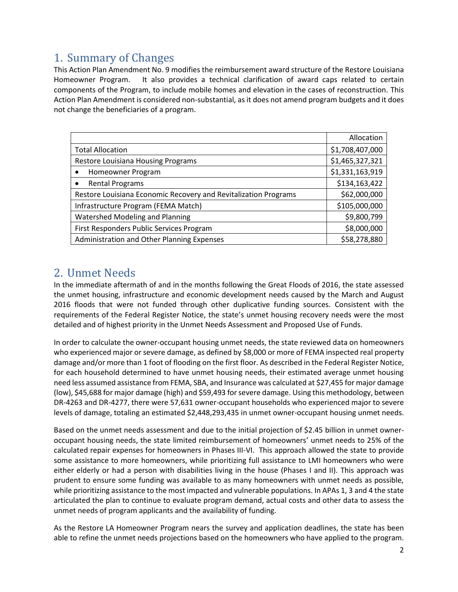## 1. Summary of Changes

This Action Plan Amendment No. 9 modifies the reimbursement award structure of the Restore Louisiana Homeowner Program. It also provides a technical clarification of award caps related to certain components of the Program, to include mobile homes and elevation in the cases of reconstruction. This Action Plan Amendment is considered non-substantial, as it does not amend program budgets and it does not change the beneficiaries of a program.

|                                                                 | Allocation      |
|-----------------------------------------------------------------|-----------------|
| <b>Total Allocation</b>                                         | \$1,708,407,000 |
| Restore Louisiana Housing Programs                              | \$1,465,327,321 |
| Homeowner Program                                               | \$1,331,163,919 |
| <b>Rental Programs</b>                                          | \$134,163,422   |
| Restore Louisiana Economic Recovery and Revitalization Programs | \$62,000,000    |
| Infrastructure Program (FEMA Match)                             | \$105,000,000   |
| <b>Watershed Modeling and Planning</b>                          | \$9,800,799     |
| First Responders Public Services Program                        | \$8,000,000     |
| Administration and Other Planning Expenses                      | \$58,278,880    |

## 2. Unmet Needs

In the immediate aftermath of and in the months following the Great Floods of 2016, the state assessed the unmet housing, infrastructure and economic development needs caused by the March and August 2016 floods that were not funded through other duplicative funding sources. Consistent with the requirements of the Federal Register Notice, the state's unmet housing recovery needs were the most detailed and of highest priority in the Unmet Needs Assessment and Proposed Use of Funds.

In order to calculate the owner-occupant housing unmet needs, the state reviewed data on homeowners who experienced major or severe damage, as defined by \$8,000 or more of FEMA inspected real property damage and/or more than 1 foot of flooding on the first floor. As described in the Federal Register Notice, for each household determined to have unmet housing needs, their estimated average unmet housing need less assumed assistance from FEMA, SBA, and Insurance was calculated at \$27,455 for major damage (low), \$45,688 for major damage (high) and \$59,493 for severe damage. Using this methodology, between DR-4263 and DR-4277, there were 57,631 owner-occupant households who experienced major to severe levels of damage, totaling an estimated \$2,448,293,435 in unmet owner-occupant housing unmet needs.

Based on the unmet needs assessment and due to the initial projection of \$2.45 billion in unmet owneroccupant housing needs, the state limited reimbursement of homeowners' unmet needs to 25% of the calculated repair expenses for homeowners in Phases III-VI. This approach allowed the state to provide some assistance to more homeowners, while prioritizing full assistance to LMI homeowners who were either elderly or had a person with disabilities living in the house (Phases I and II). This approach was prudent to ensure some funding was available to as many homeowners with unmet needs as possible, while prioritizing assistance to the most impacted and vulnerable populations. In APAs 1, 3 and 4 the state articulated the plan to continue to evaluate program demand, actual costs and other data to assess the unmet needs of program applicants and the availability of funding.

As the Restore LA Homeowner Program nears the survey and application deadlines, the state has been able to refine the unmet needs projections based on the homeowners who have applied to the program.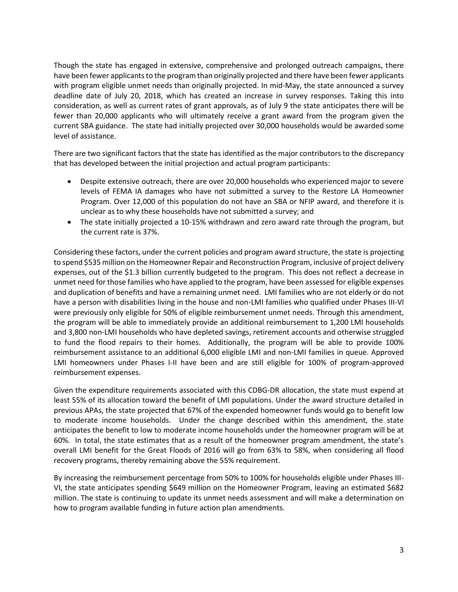Though the state has engaged in extensive, comprehensive and prolonged outreach campaigns, there have been fewer applicants to the program than originally projected and there have been fewer applicants with program eligible unmet needs than originally projected. In mid-May, the state announced a survey deadline date of July 20, 2018, which has created an increase in survey responses. Taking this into consideration, as well as current rates of grant approvals, as of July 9 the state anticipates there will be fewer than 20,000 applicants who will ultimately receive a grant award from the program given the current SBA guidance. The state had initially projected over 30,000 households would be awarded some level of assistance.

There are two significant factors that the state has identified as the major contributors to the discrepancy that has developed between the initial projection and actual program participants:

- Despite extensive outreach, there are over 20,000 households who experienced major to severe levels of FEMA IA damages who have not submitted a survey to the Restore LA Homeowner Program. Over 12,000 of this population do not have an SBA or NFIP award, and therefore it is unclear as to why these households have not submitted a survey; and
- The state initially projected a 10-15% withdrawn and zero award rate through the program, but the current rate is 37%.

Considering these factors, under the current policies and program award structure, the state is projecting to spend \$535 million on the Homeowner Repair and Reconstruction Program, inclusive of project delivery expenses, out of the \$1.3 billion currently budgeted to the program. This does not reflect a decrease in unmet need for those families who have applied to the program, have been assessed for eligible expenses and duplication of benefits and have a remaining unmet need. LMI families who are not elderly or do not have a person with disabilities living in the house and non-LMI families who qualified under Phases III-VI were previously only eligible for 50% of eligible reimbursement unmet needs. Through this amendment, the program will be able to immediately provide an additional reimbursement to 1,200 LMI households and 3,800 non-LMI households who have depleted savings, retirement accounts and otherwise struggled to fund the flood repairs to their homes. Additionally, the program will be able to provide 100% reimbursement assistance to an additional 6,000 eligible LMI and non-LMI families in queue. Approved LMI homeowners under Phases I-II have been and are still eligible for 100% of program-approved reimbursement expenses.

Given the expenditure requirements associated with this CDBG-DR allocation, the state must expend at least 55% of its allocation toward the benefit of LMI populations. Under the award structure detailed in previous APAs, the state projected that 67% of the expended homeowner funds would go to benefit low to moderate income households. Under the change described within this amendment, the state anticipates the benefit to low to moderate income households under the homeowner program will be at 60%. In total, the state estimates that as a result of the homeowner program amendment, the state's overall LMI benefit for the Great Floods of 2016 will go from 63% to 58%, when considering all flood recovery programs, thereby remaining above the 55% requirement.

By increasing the reimbursement percentage from 50% to 100% for households eligible under Phases III-VI, the state anticipates spending \$649 million on the Homeowner Program, leaving an estimated \$682 million. The state is continuing to update its unmet needs assessment and will make a determination on how to program available funding in future action plan amendments.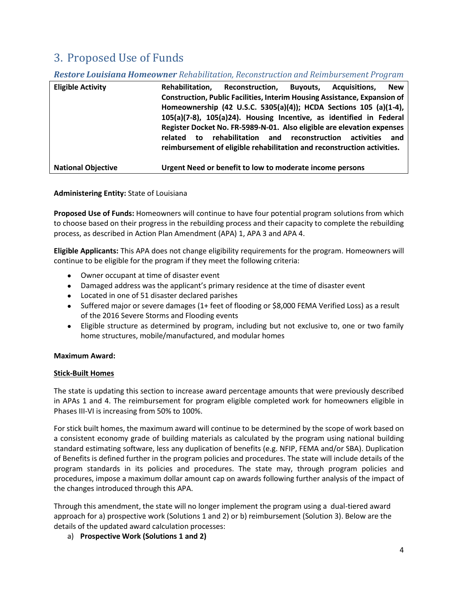# 3. Proposed Use of Funds

### *Restore Louisiana Homeowner Rehabilitation, Reconstruction and Reimbursement Program*

| <b>Eligible Activity</b>  | Rehabilitation. | Reconstruction,                                                                  | <b>Buvouts.</b> | Acquisitions. | <b>New</b> |
|---------------------------|-----------------|----------------------------------------------------------------------------------|-----------------|---------------|------------|
|                           |                 | <b>Construction, Public Facilities, Interim Housing Assistance, Expansion of</b> |                 |               |            |
|                           |                 | Homeownership (42 U.S.C. 5305(a)(4)); HCDA Sections 105 (a)(1-4),                |                 |               |            |
|                           |                 | 105(a)(7-8), 105(a)24). Housing Incentive, as identified in Federal              |                 |               |            |
|                           |                 | Register Docket No. FR-5989-N-01. Also eligible are elevation expenses           |                 |               |            |
|                           | related<br>to   | rehabilitation and reconstruction                                                |                 | activities    | and        |
|                           |                 | reimbursement of eligible rehabilitation and reconstruction activities.          |                 |               |            |
| <b>National Objective</b> |                 | Urgent Need or benefit to low to moderate income persons                         |                 |               |            |

### **Administering Entity:** State of Louisiana

**Proposed Use of Funds:** Homeowners will continue to have four potential program solutions from which to choose based on their progress in the rebuilding process and their capacity to complete the rebuilding process, as described in Action Plan Amendment (APA) 1, APA 3 and APA 4.

**Eligible Applicants:** This APA does not change eligibility requirements for the program. Homeowners will continue to be eligible for the program if they meet the following criteria:

- Owner occupant at time of disaster event
- Damaged address was the applicant's primary residence at the time of disaster event
- Located in one of 51 disaster declared parishes
- $\bullet$  Suffered major or severe damages (1+ feet of flooding or \$8,000 FEMA Verified Loss) as a result of the 2016 Severe Storms and Flooding events
- Eligible structure as determined by program, including but not exclusive to, one or two family home structures, mobile/manufactured, and modular homes

### **Maximum Award:**

#### **Stick-Built Homes**

The state is updating this section to increase award percentage amounts that were previously described in APAs 1 and 4. The reimbursement for program eligible completed work for homeowners eligible in Phases III-VI is increasing from 50% to 100%.

For stick built homes, the maximum award will continue to be determined by the scope of work based on a consistent economy grade of building materials as calculated by the program using national building standard estimating software, less any duplication of benefits (e.g. NFIP, FEMA and/or SBA). Duplication of Benefits is defined further in the program policies and procedures. The state will include details of the program standards in its policies and procedures. The state may, through program policies and procedures, impose a maximum dollar amount cap on awards following further analysis of the impact of the changes introduced through this APA.

Through this amendment, the state will no longer implement the program using a dual-tiered award approach for a) prospective work (Solutions 1 and 2) or b) reimbursement (Solution 3). Below are the details of the updated award calculation processes:

a) **Prospective Work (Solutions 1 and 2)**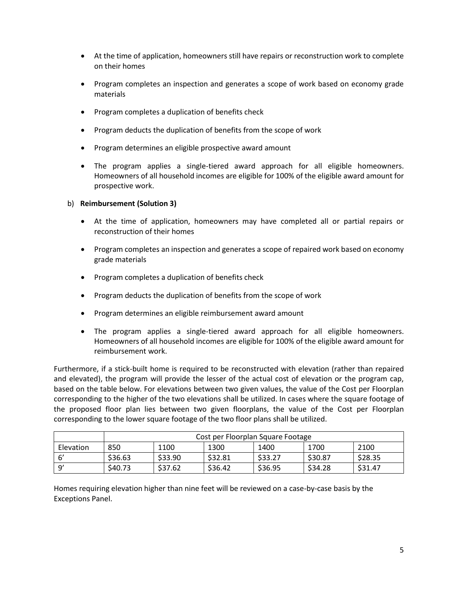- At the time of application, homeowners still have repairs or reconstruction work to complete on their homes
- Program completes an inspection and generates a scope of work based on economy grade materials
- Program completes a duplication of benefits check
- Program deducts the duplication of benefits from the scope of work
- Program determines an eligible prospective award amount
- The program applies a single-tiered award approach for all eligible homeowners. Homeowners of all household incomes are eligible for 100% of the eligible award amount for prospective work.
- b) **Reimbursement (Solution 3)**
	- At the time of application, homeowners may have completed all or partial repairs or reconstruction of their homes
	- Program completes an inspection and generates a scope of repaired work based on economy grade materials
	- Program completes a duplication of benefits check
	- Program deducts the duplication of benefits from the scope of work
	- Program determines an eligible reimbursement award amount
	- The program applies a single-tiered award approach for all eligible homeowners. Homeowners of all household incomes are eligible for 100% of the eligible award amount for reimbursement work.

Furthermore, if a stick-built home is required to be reconstructed with elevation (rather than repaired and elevated), the program will provide the lesser of the actual cost of elevation or the program cap, based on the table below. For elevations between two given values, the value of the Cost per Floorplan corresponding to the higher of the two elevations shall be utilized. In cases where the square footage of the proposed floor plan lies between two given floorplans, the value of the Cost per Floorplan corresponding to the lower square footage of the two floor plans shall be utilized.

|                 | Cost per Floorplan Square Footage |         |         |         |         |         |
|-----------------|-----------------------------------|---------|---------|---------|---------|---------|
| Elevation       | 850                               | 1100    | 1300    | 1400    | 1700    | 2100    |
|                 | \$36.63                           | \$33.90 | \$32.81 | \$33.27 | \$30.87 | \$28.35 |
| ັດ <sup>,</sup> | \$40.73                           | \$37.62 | \$36.42 | \$36.95 | \$34.28 | \$31.47 |

Homes requiring elevation higher than nine feet will be reviewed on a case-by-case basis by the Exceptions Panel.